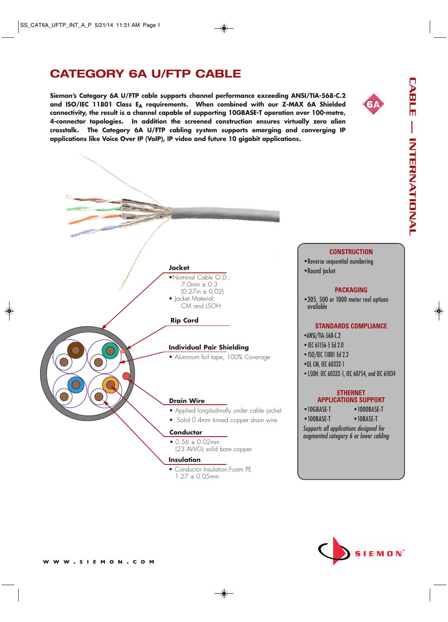# **CATEGORY 6A U/FTP CABLE**

**Siemon's Category 6A U/FTP cable supports channel performance exceeding ANSI/TIA-568-C.2** and ISO/IEC 11801 Class E<sub>A</sub> requirements. When combined with our Z-MAX 6A Shielded **connectivity, the result is a channel capable of supporting 10GBASE-T operation over 100-metre, 4-connector topologies. In addition the screened construction ensures virtually zero alien crosstalk. The Category 6A U/FTP cabling system supports emerging and converging IP applications like Voice Over IP (VoIP), IP video and future 10 gigabit applications.**





# EMON